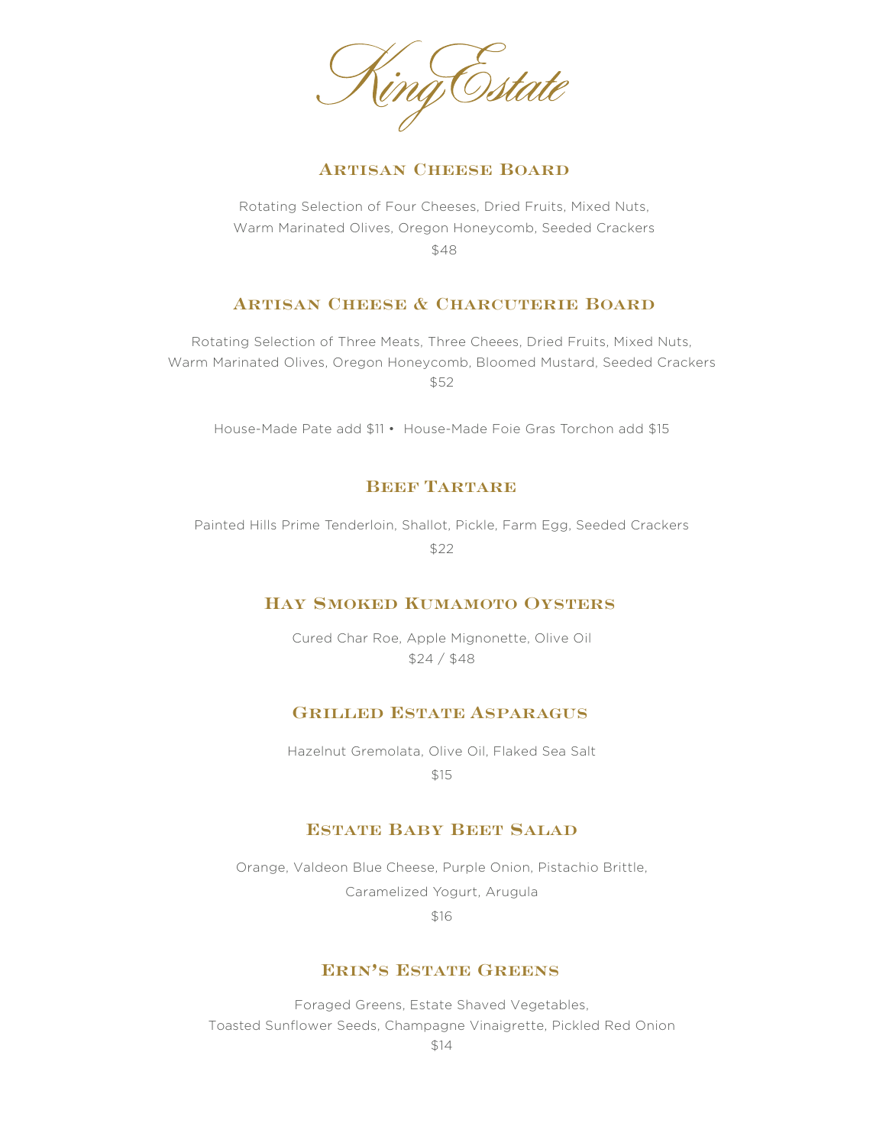ing Estate

#### **ARTISAN CHEESE BOARD**

Rotating Selection of Four Cheeses, Dried Fruits, Mixed Nuts, Warm Marinated Olives, Oregon Honeycomb, Seeded Crackers \$48

#### **Artisan Cheese & Charcuterie Board**

Rotating Selection of Three Meats, Three Cheees, Dried Fruits, Mixed Nuts, Warm Marinated Olives, Oregon Honeycomb, Bloomed Mustard, Seeded Crackers \$52

House-Made Pate add \$11 • House-Made Foie Gras Torchon add \$15

# **Beef Tartare**

Painted Hills Prime Tenderloin, Shallot, Pickle, Farm Egg, Seeded Crackers \$22

#### **Hay Smoked Kumamoto Oysters**

Cured Char Roe, Apple Mignonette, Olive Oil \$24 / \$48

# **Grilled Estate Asparagus**

Hazelnut Gremolata, Olive Oil, Flaked Sea Salt

\$15

#### **Estate Baby Beet Salad**

Orange, Valdeon Blue Cheese, Purple Onion, Pistachio Brittle, Caramelized Yogurt, Arugula

\$16

# **Erin's Estate Greens**

Foraged Greens, Estate Shaved Vegetables, Toasted Sunflower Seeds, Champagne Vinaigrette, Pickled Red Onion